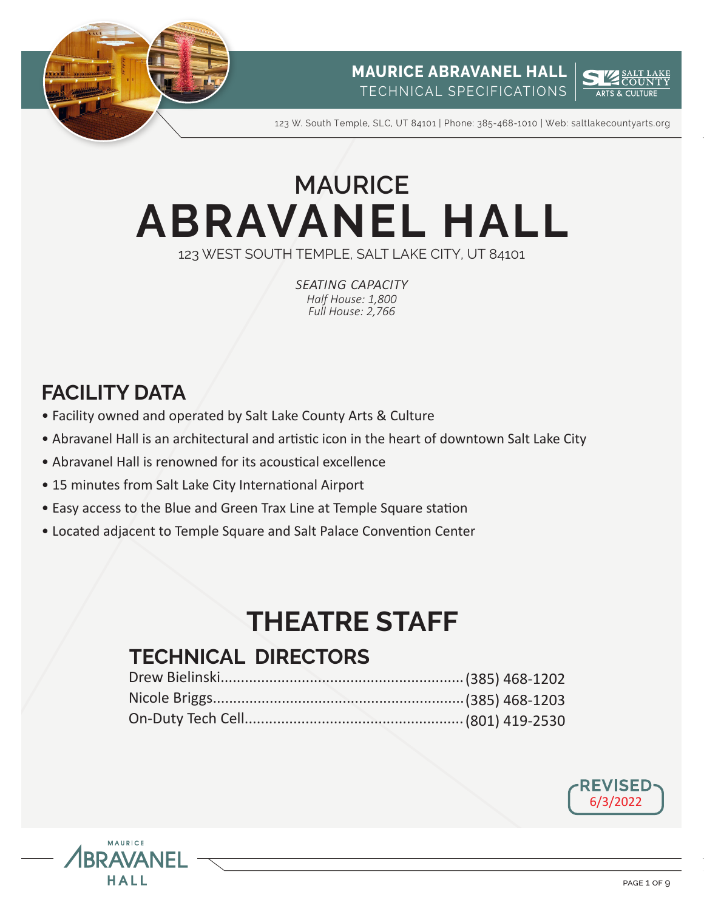



123 W. South Temple, SLC, UT 84101 | Phone: 385-468-1010 | Web: saltlakecountyarts.org

# **ABRAVANEL HALL** 123 WEST SOUTH TEMPLE, SALT LAKE CITY, UT 84101 **MAURICE**

*seating capacity Half House: 1,800 Full House: 2,766*

# **FACILITY DATA**

**AVANF** 

HALL

- Facility owned and operated by Salt Lake County Arts & Culture
- Abravanel Hall is an architectural and artistic icon in the heart of downtown Salt Lake City
- Abravanel Hall is renowned for its acoustical excellence
- 15 minutes from Salt Lake City International Airport
- Easy access to the Blue and Green Trax Line at Temple Square station
- Located adjacent to Temple Square and Salt Palace Convention Center

# **THEATRE STAFF**

# **TECHNICAL DIRECTORS**



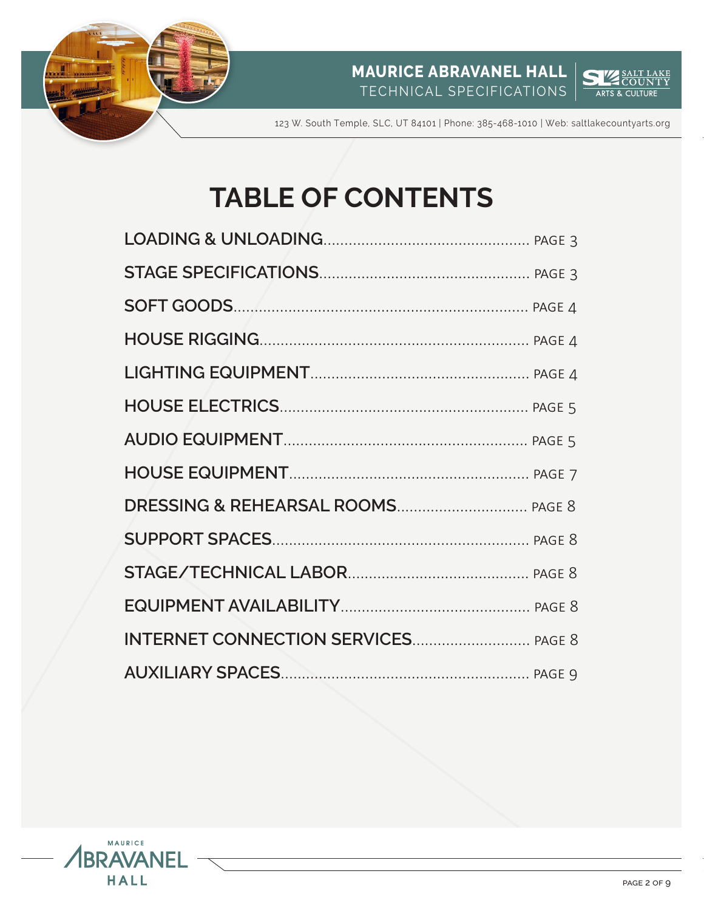



123 W. South Temple, SLC, UT 84101 | Phone: 385-468-1010 | Web: saltlakecountyarts.org

# **TABLE OF CONTENTS**

| <b>INTERNET CONNECTION SERVICES PAGE 8</b> |  |
|--------------------------------------------|--|
|                                            |  |

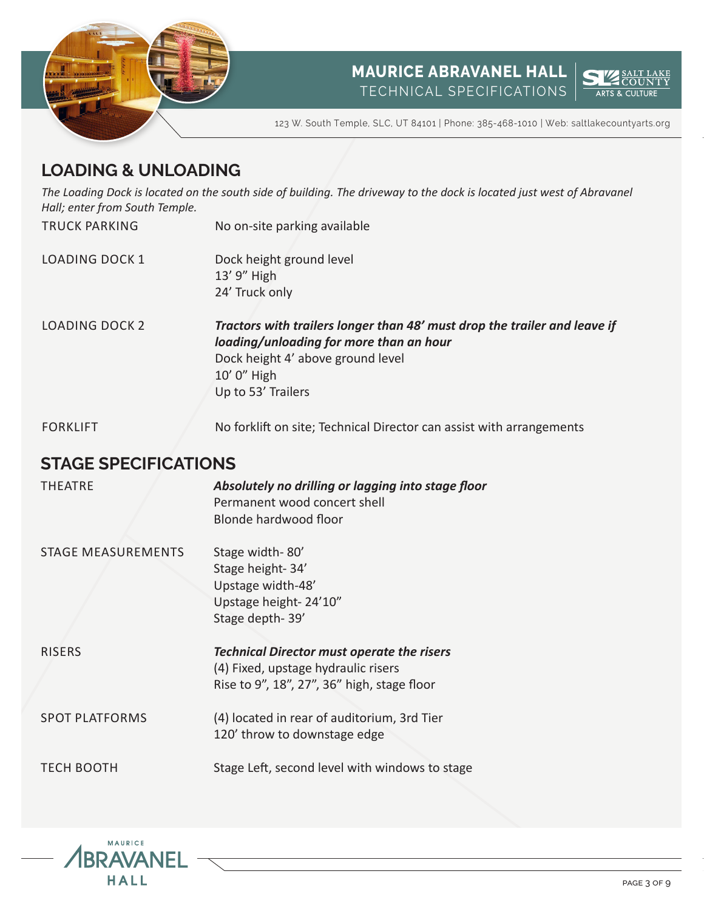



123 W. South Temple, SLC, UT 84101 | Phone: 385-468-1010 | Web: saltlakecountyarts.org

# **LOADING & UNLOADING**

*The Loading Dock is located on the south side of building. The driveway to the dock is located just west of Abravanel Hall; enter from South Temple.*

No on-site parking available

- LOADING DOCK 1 Dock height ground level 13' 9" High 24' Truck only
- LOADING DOCK 2 *Tractors with trailers longer than 48' must drop the trailer and leave if loading/unloading for more than an hour* Dock height 4' above ground level 10' 0" High Up to 53' Trailers

FORKLIFT

TRUCK PARKING

No forklift on site; Technical Director can assist with arrangements

## **STAGE SPECIFICATIONS**

| <b>THEATRE</b>            | Absolutely no drilling or lagging into stage floor<br>Permanent wood concert shell<br>Blonde hardwood floor                             |
|---------------------------|-----------------------------------------------------------------------------------------------------------------------------------------|
| <b>STAGE MEASUREMENTS</b> | Stage width-80'<br>Stage height-34'<br>Upstage width-48'<br>Upstage height-24'10"<br>Stage depth-39'                                    |
| <b>RISERS</b>             | <b>Technical Director must operate the risers</b><br>(4) Fixed, upstage hydraulic risers<br>Rise to 9", 18", 27", 36" high, stage floor |
| <b>SPOT PLATFORMS</b>     | (4) located in rear of auditorium, 3rd Tier<br>120' throw to downstage edge                                                             |
| <b>TECH BOOTH</b>         | Stage Left, second level with windows to stage                                                                                          |

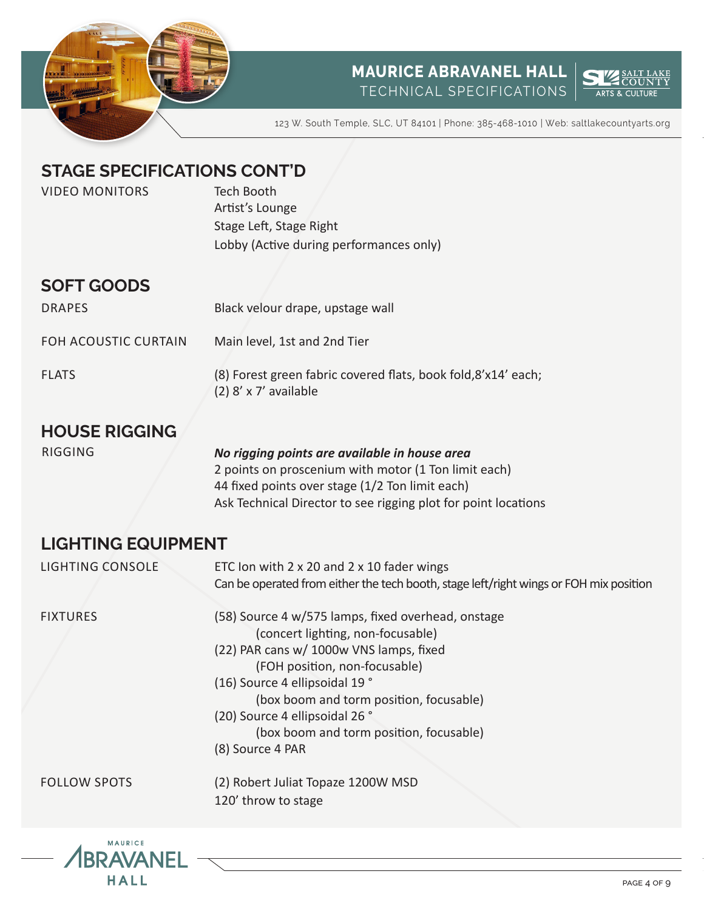



123 W. South Temple, SLC, UT 84101 | Phone: 385-468-1010 | Web: saltlakecountyarts.org

# **STAGE SPECIFICATIONS CONT'D**

| <b>VIDEO MONITORS</b>              | <b>Tech Booth</b><br>Artist's Lounge<br>Stage Left, Stage Right<br>Lobby (Active during performances only) |
|------------------------------------|------------------------------------------------------------------------------------------------------------|
| <b>SOFT GOODS</b><br><b>DRAPES</b> | Black velour drape, upstage wall                                                                           |
| <b>FOH ACOUSTIC CURTAIN</b>        | Main level, 1st and 2nd Tier                                                                               |
| <b>FLATS</b>                       | (8) Forest green fabric covered flats, book fold, 8'x14' each;<br>$(2)$ 8' x 7' available                  |

# **HOUSE RIGGING**

RIGGING *No rigging points are available in house area* 2 points on proscenium with motor (1 Ton limit each) 44 fixed points over stage (1/2 Ton limit each) Ask Technical Director to see rigging plot for point locations

# **LIGHTING EQUIPMENT**

| <b>LIGHTING CONSOLE</b> | ETC Ion with $2 \times 20$ and $2 \times 10$ fader wings<br>Can be operated from either the tech booth, stage left/right wings or FOH mix position                         |
|-------------------------|----------------------------------------------------------------------------------------------------------------------------------------------------------------------------|
| <b>FIXTURES</b>         | (58) Source 4 w/575 lamps, fixed overhead, onstage<br>(concert lighting, non-focusable)<br>(22) PAR cans w/ 1000w VNS lamps, fixed<br>(FOH position, non-focusable)        |
|                         | (16) Source 4 ellipsoidal 19 °<br>(box boom and torm position, focusable)<br>(20) Source 4 ellipsoidal 26 °<br>(box boom and torm position, focusable)<br>(8) Source 4 PAR |
| <b>FOLLOW SPOTS</b>     | (2) Robert Juliat Topaze 1200W MSD<br>120' throw to stage                                                                                                                  |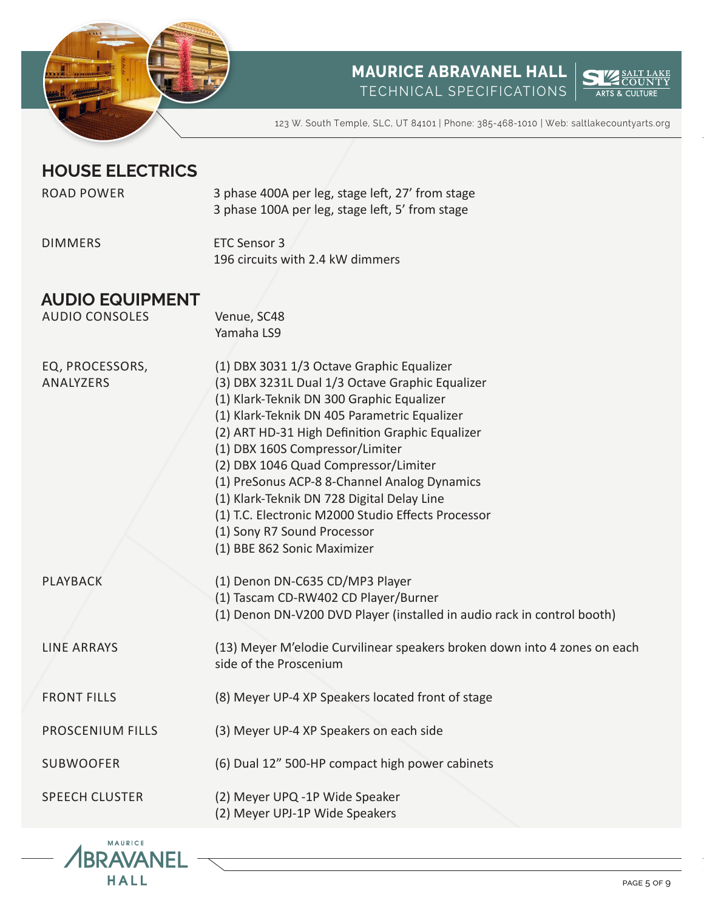



123 W. South Temple, SLC, UT 84101 | Phone: 385-468-1010 | Web: saltlakecountyarts.org

# **HOUSE ELECTRICS**

| <b>ROAD POWER</b>                               | 3 phase 400A per leg, stage left, 27' from stage<br>3 phase 100A per leg, stage left, 5' from stage                                                                                                                                                                                                                                                                                                                                                                                                                                       |
|-------------------------------------------------|-------------------------------------------------------------------------------------------------------------------------------------------------------------------------------------------------------------------------------------------------------------------------------------------------------------------------------------------------------------------------------------------------------------------------------------------------------------------------------------------------------------------------------------------|
| <b>DIMMERS</b>                                  | <b>ETC Sensor 3</b><br>196 circuits with 2.4 kW dimmers                                                                                                                                                                                                                                                                                                                                                                                                                                                                                   |
| <b>AUDIO EQUIPMENT</b><br><b>AUDIO CONSOLES</b> | Venue, SC48<br>Yamaha LS9                                                                                                                                                                                                                                                                                                                                                                                                                                                                                                                 |
| EQ, PROCESSORS,<br>ANALYZERS                    | (1) DBX 3031 1/3 Octave Graphic Equalizer<br>(3) DBX 3231L Dual 1/3 Octave Graphic Equalizer<br>(1) Klark-Teknik DN 300 Graphic Equalizer<br>(1) Klark-Teknik DN 405 Parametric Equalizer<br>(2) ART HD-31 High Definition Graphic Equalizer<br>(1) DBX 160S Compressor/Limiter<br>(2) DBX 1046 Quad Compressor/Limiter<br>(1) PreSonus ACP-8 8-Channel Analog Dynamics<br>(1) Klark-Teknik DN 728 Digital Delay Line<br>(1) T.C. Electronic M2000 Studio Effects Processor<br>(1) Sony R7 Sound Processor<br>(1) BBE 862 Sonic Maximizer |
| <b>PLAYBACK</b>                                 | (1) Denon DN-C635 CD/MP3 Player<br>(1) Tascam CD-RW402 CD Player/Burner<br>(1) Denon DN-V200 DVD Player (installed in audio rack in control booth)                                                                                                                                                                                                                                                                                                                                                                                        |
| <b>LINE ARRAYS</b>                              | (13) Meyer M'elodie Curvilinear speakers broken down into 4 zones on each<br>side of the Proscenium                                                                                                                                                                                                                                                                                                                                                                                                                                       |
| <b>FRONT FILLS</b>                              | (8) Meyer UP-4 XP Speakers located front of stage                                                                                                                                                                                                                                                                                                                                                                                                                                                                                         |
| <b>PROSCENIUM FILLS</b>                         | (3) Meyer UP-4 XP Speakers on each side                                                                                                                                                                                                                                                                                                                                                                                                                                                                                                   |
| <b>SUBWOOFER</b>                                | (6) Dual 12" 500-HP compact high power cabinets                                                                                                                                                                                                                                                                                                                                                                                                                                                                                           |
| <b>SPEECH CLUSTER</b>                           | (2) Meyer UPQ -1P Wide Speaker<br>(2) Meyer UPJ-1P Wide Speakers                                                                                                                                                                                                                                                                                                                                                                                                                                                                          |

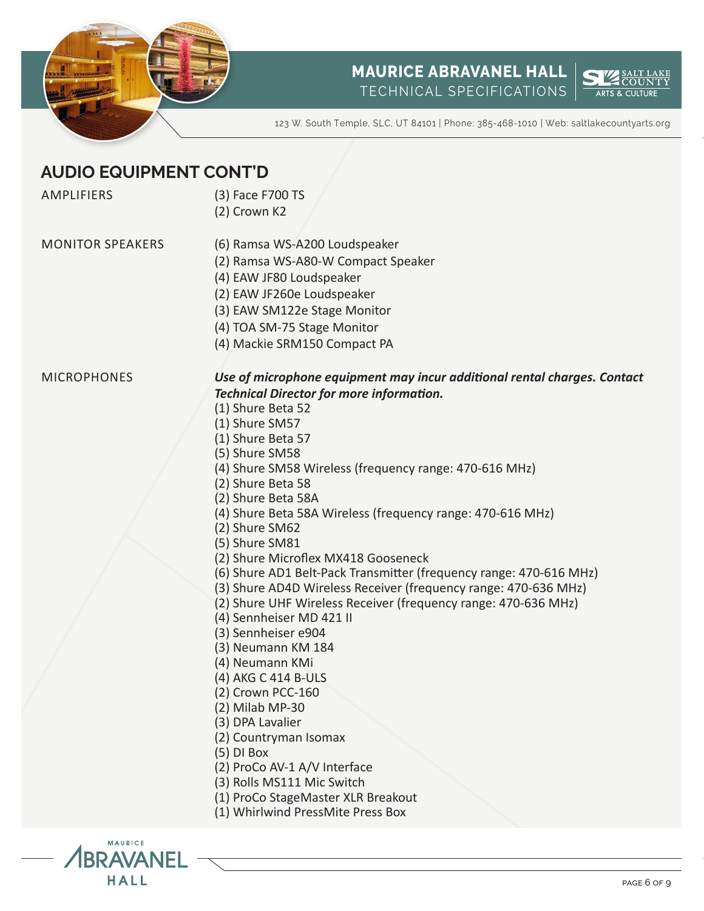



PAGE 6 OF 9

123 W. South Temple, SLC, UT 84101 | Phone: 385-468-1010 | Web: saltlakecountyarts.org

# **AUDIO EQUIPMENT CONT'D**

AMPLIFIERS

- (3) Face F700 TS
- (2) Crown K2

MONITOR SPEAKERS

- (6) Ramsa WS-A200 Loudspeaker
- (2) Ramsa WS-A80-W Compact Speaker
	- (4) EAW JF80 Loudspeaker
	- (2) EAW JF260e Loudspeaker
	- (3) EAW SM122e Stage Monitor
	- (4) TOA SM-75 Stage Monitor
	- (4) Mackie SRM150 Compact PA

#### **MICROPHONES**

MAURICE **BRAVANFI** HALL

#### *Use of microphone equipment may incur additional rental charges. Contact Technical Director for more information.*

- (1) Shure Beta 52
- (1) Shure SM57
- (1) Shure Beta 57
- (5) Shure SM58
- (4) Shure SM58 Wireless (frequency range: 470-616 MHz)
- (2) Shure Beta 58
- (2) Shure Beta 58A
- (4) Shure Beta 58A Wireless (frequency range: 470-616 MHz)
- (2) Shure SM62
- (5) Shure SM81
- (2) Shure Microflex MX418 Gooseneck
- (6) Shure AD1 Belt-Pack Transmitter (frequency range: 470-616 MHz)
- (3) Shure AD4D Wireless Receiver (frequency range: 470-636 MHz)
- (2) Shure UHF Wireless Receiver (frequency range: 470-636 MHz)
- (4) Sennheiser MD 421 II
- (3) Sennheiser e904
- (3) Neumann KM 184
- (4) Neumann KMi
- (4) AKG C 414 B-ULS
- (2) Crown PCC-160
- (2) Milab MP-30
- (3) DPA Lavalier
- (2) Countryman Isomax
- (5) DI Box
- (2) ProCo AV-1 A/V Interface
- (3) Rolls MS111 Mic Switch
- (1) ProCo StageMaster XLR Breakout
- (1) Whirlwind PressMite Press Box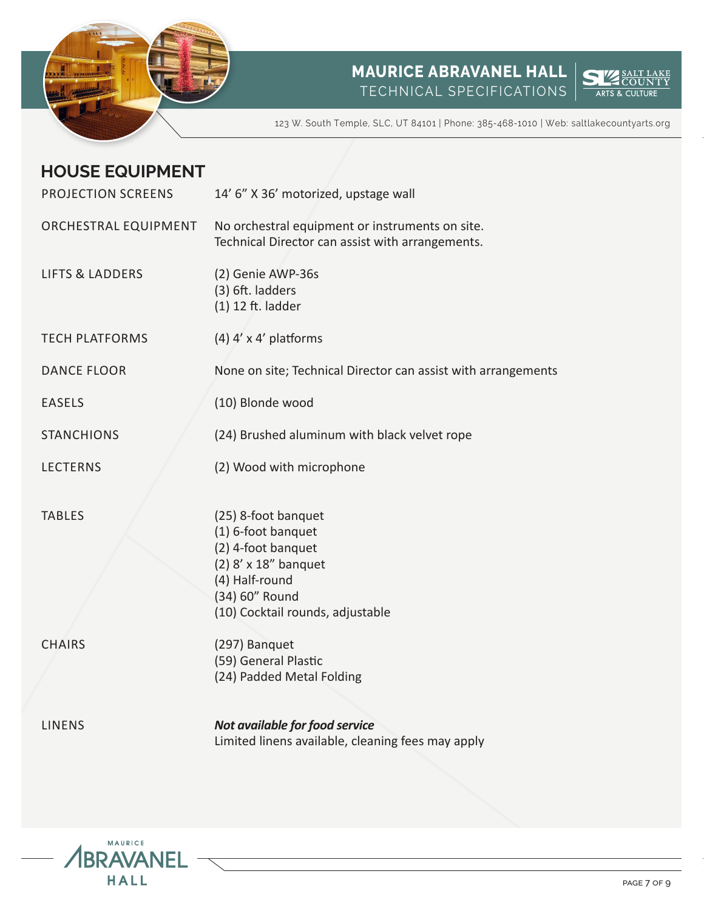



123 W. South Temple, SLC, UT 84101 | Phone: 385-468-1010 | Web: saltlakecountyarts.org

# **HOUSE EQUIPMENT**

| PROJECTION SCREENS         | 14' 6" X 36' motorized, upstage wall                                                                                                                            |  |
|----------------------------|-----------------------------------------------------------------------------------------------------------------------------------------------------------------|--|
| ORCHESTRAL EQUIPMENT       | No orchestral equipment or instruments on site.<br>Technical Director can assist with arrangements.                                                             |  |
| <b>LIFTS &amp; LADDERS</b> | (2) Genie AWP-36s<br>(3) 6ft. ladders<br>$(1)$ 12 ft. ladder                                                                                                    |  |
| <b>TECH PLATFORMS</b>      | $(4)$ 4' x 4' platforms                                                                                                                                         |  |
| <b>DANCE FLOOR</b>         | None on site; Technical Director can assist with arrangements                                                                                                   |  |
| <b>EASELS</b>              | (10) Blonde wood                                                                                                                                                |  |
| <b>STANCHIONS</b>          | (24) Brushed aluminum with black velvet rope                                                                                                                    |  |
| <b>LECTERNS</b>            | (2) Wood with microphone                                                                                                                                        |  |
| <b>TABLES</b>              | (25) 8-foot banquet<br>(1) 6-foot banquet<br>(2) 4-foot banquet<br>(2) 8' x 18" banquet<br>(4) Half-round<br>(34) 60" Round<br>(10) Cocktail rounds, adjustable |  |
| <b>CHAIRS</b>              | (297) Banquet<br>(59) General Plastic<br>(24) Padded Metal Folding                                                                                              |  |
| <b>LINENS</b>              | Not available for food service<br>Limited linens available, cleaning fees may apply                                                                             |  |

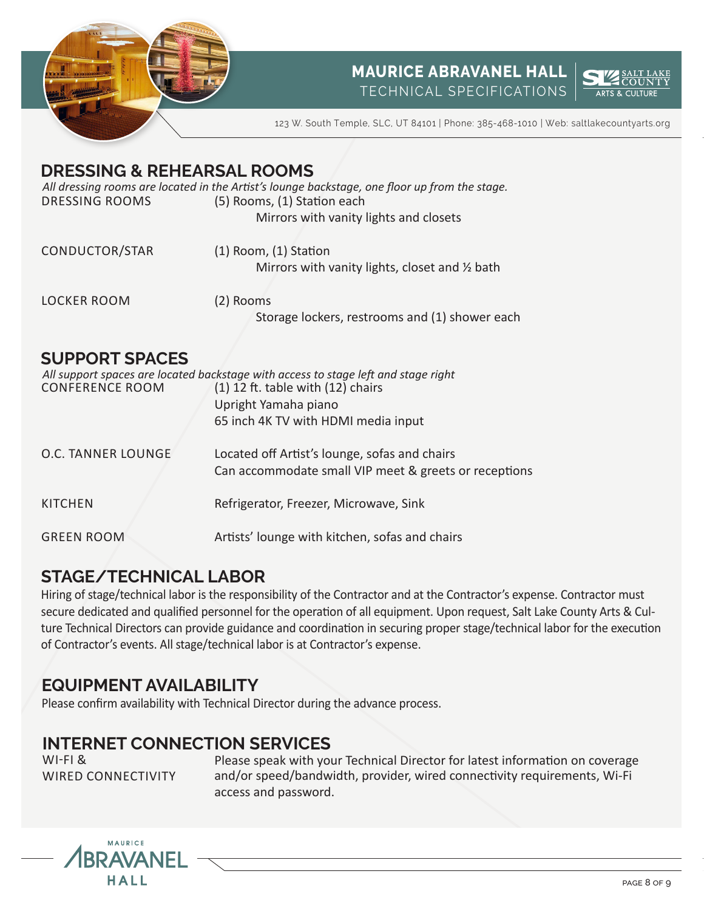



123 W. South Temple, SLC, UT 84101 | Phone: 385-468-1010 | Web: saltlakecountyarts.org

## **DRESSING & REHEARSAL ROOMS**

DRESSING ROOMS (5) Rooms, (1) Station each Mirrors with vanity lights and closets *All dressing rooms are located in the Artist's lounge backstage, one floor up from the stage.*

| CONDUCTOR/STAR | $(1)$ Room, $(1)$ Station                       |
|----------------|-------------------------------------------------|
|                | Mirrors with vanity lights, closet and 1/2 bath |
|                |                                                 |

LOCKER ROOM (2) Rooms Storage lockers, restrooms and (1) shower each

### **SUPPORT SPACES**

| <b>CONFERENCE ROOM</b> | All support spaces are located backstage with access to stage left and stage right<br>$(1)$ 12 ft. table with $(12)$ chairs<br>Upright Yamaha piano |
|------------------------|-----------------------------------------------------------------------------------------------------------------------------------------------------|
|                        |                                                                                                                                                     |
|                        | 65 inch 4K TV with HDMI media input                                                                                                                 |
| O.C. TANNER LOUNGE     | Located off Artist's lounge, sofas and chairs<br>Can accommodate small VIP meet & greets or receptions                                              |
| <b>KITCHEN</b>         | Refrigerator, Freezer, Microwave, Sink                                                                                                              |
| <b>GREEN ROOM</b>      | Artists' lounge with kitchen, sofas and chairs                                                                                                      |

# **STAGE/TECHNICAL LABOR**

Hiring of stage/technical labor is the responsibility of the Contractor and at the Contractor's expense. Contractor must secure dedicated and qualified personnel for the operation of all equipment. Upon request, Salt Lake County Arts & Culture Technical Directors can provide guidance and coordination in securing proper stage/technical labor for the execution of Contractor's events. All stage/technical labor is at Contractor's expense.

# **EQUIPMENT AVAILABILITY**

Please confirm availability with Technical Director during the advance process.

# **INTERNET CONNECTION SERVICES**

WI-FI & WIRED CONNECTIVITY Please speak with your Technical Director for latest information on coverage and/or speed/bandwidth, provider, wired connectivity requirements, Wi-Fi access and password.



PAGE 8 OF 9